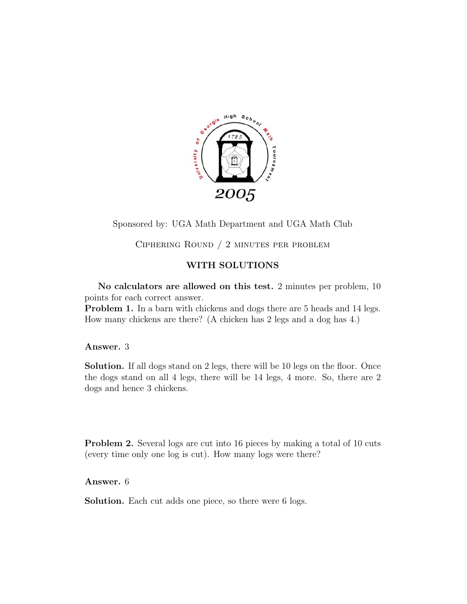

Sponsored by: UGA Math Department and UGA Math Club

Ciphering Round / 2 minutes per problem

## **WITH SOLUTIONS**

**No calculators are allowed on this test.** 2 minutes per problem, 10 points for each correct answer.

**Problem 1.** In a barn with chickens and dogs there are 5 heads and 14 legs. How many chickens are there? (A chicken has 2 legs and a dog has 4.)

**Answer.** 3

**Solution.** If all dogs stand on 2 legs, there will be 10 legs on the floor. Once the dogs stand on all 4 legs, there will be 14 legs, 4 more. So, there are 2 dogs and hence 3 chickens.

**Problem 2.** Several logs are cut into 16 pieces by making a total of 10 cuts (every time only one log is cut). How many logs were there?

**Answer.** 6

**Solution.** Each cut adds one piece, so there were 6 logs.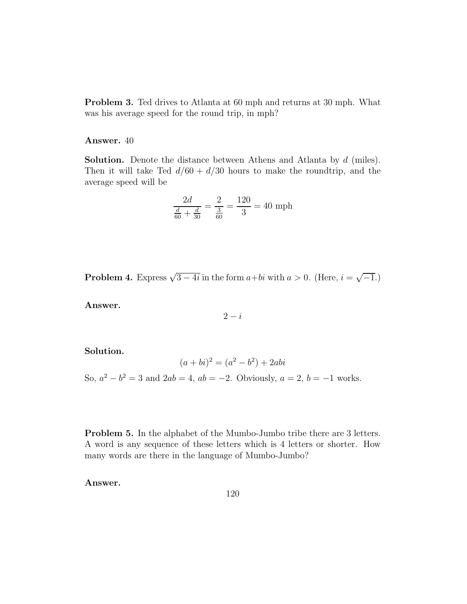**Problem 3.** Ted drives to Atlanta at 60 mph and returns at 30 mph. What was his average speed for the round trip, in mph?

## **Answer.** 40

**Solution.** Denote the distance between Athens and Atlanta by *d* (miles). Then it will take Ted  $d/60 + d/30$  hours to make the roundtrip, and the average speed will be

$$
\frac{2d}{\frac{d}{60} + \frac{d}{30}} = \frac{2}{\frac{3}{60}} = \frac{120}{3} = 40 \text{ mph}
$$

**Problem 4.** Express  $\sqrt{3-4i}$  in the form  $a+bi$  with  $a > 0$ . (Here,  $i = \sqrt{-1}$ .)

**Answer.**

$$
2-i
$$

**Solution.**

$$
(a+bi)^2 = (a^2 - b^2) + 2abi
$$

So,  $a^2 - b^2 = 3$  and  $2ab = 4$ ,  $ab = -2$ . Obviously,  $a = 2$ ,  $b = -1$  works.

**Problem 5.** In the alphabet of the Mumbo-Jumbo tribe there are 3 letters. A word is any sequence of these letters which is 4 letters or shorter. How many words are there in the language of Mumbo-Jumbo?

**Answer.**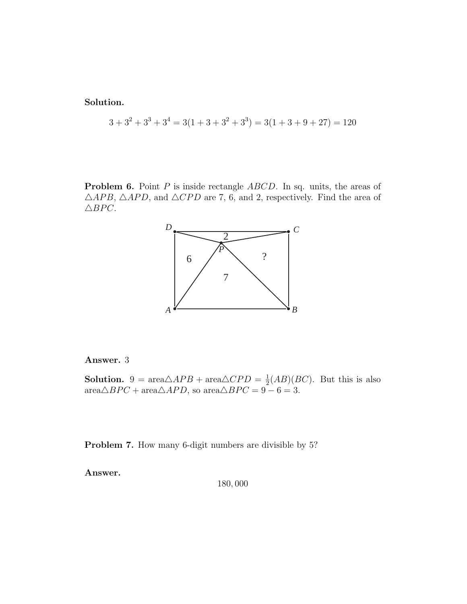**Solution.**

$$
3 + 32 + 33 + 34 = 3(1 + 3 + 32 + 33) = 3(1 + 3 + 9 + 27) = 120
$$

**Problem 6.** Point *P* is inside rectangle *ABCD*. In sq. units, the areas of  $\triangle APB$ ,  $\triangle APD$ , and  $\triangle CPD$  are 7, 6, and 2, respectively. Find the area of  $\triangle BPC$ .



## **Answer.** 3

**Solution.** 9 =  $\text{area}\triangle APB + \text{area}\triangle CPD = \frac{1}{2}(AB)(BC)$ . But this is also  $area \triangle BPC + area \triangle APD$ , so  $area \triangle BPC = 9 - 6 = 3$ .

**Problem 7.** How many 6-digit numbers are divisible by 5?

**Answer.**

180*,* 000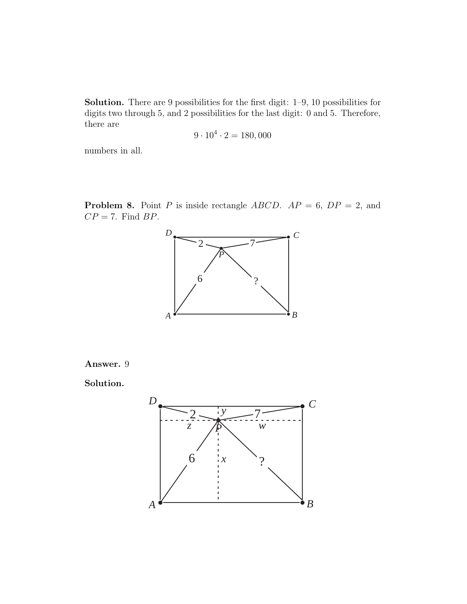**Solution.** There are 9 possibilities for the first digit: 1–9, 10 possibilities for digits two through 5, and 2 possibilities for the last digit: 0 and 5. Therefore, there are

$$
9 \cdot 10^4 \cdot 2 = 180,000
$$

numbers in all.

**Problem 8.** Point *P* is inside rectangle *ABCD*.  $AP = 6$ ,  $DP = 2$ , and *CP* = 7. Find *BP*.



**Answer.** 9

**Solution.**

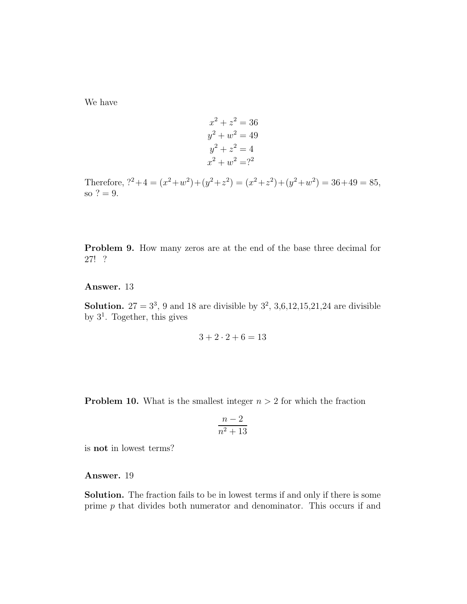We have

$$
x2 + z2 = 36
$$
  
\n
$$
y2 + w2 = 49
$$
  
\n
$$
y2 + z2 = 4
$$
  
\n
$$
x2 + w2 = ?2
$$

Therefore,  $i^2 + 4 = (x^2 + w^2) + (y^2 + z^2) = (x^2 + z^2) + (y^2 + w^2) = 36 + 49 = 85$ , so  $? = 9$ .

**Problem 9.** How many zeros are at the end of the base three decimal for 27! ?

## **Answer.** 13

**Solution.** 27 =  $3^3$ , 9 and 18 are divisible by  $3^2$ , 3,6,12,15,21,24 are divisible by  $3<sup>1</sup>$ . Together, this gives

$$
3 + 2 \cdot 2 + 6 = 13
$$

**Problem 10.** What is the smallest integer  $n > 2$  for which the fraction

$$
\frac{n-2}{n^2+13}
$$

is **not** in lowest terms?

**Answer.** 19

**Solution.** The fraction fails to be in lowest terms if and only if there is some prime *p* that divides both numerator and denominator. This occurs if and